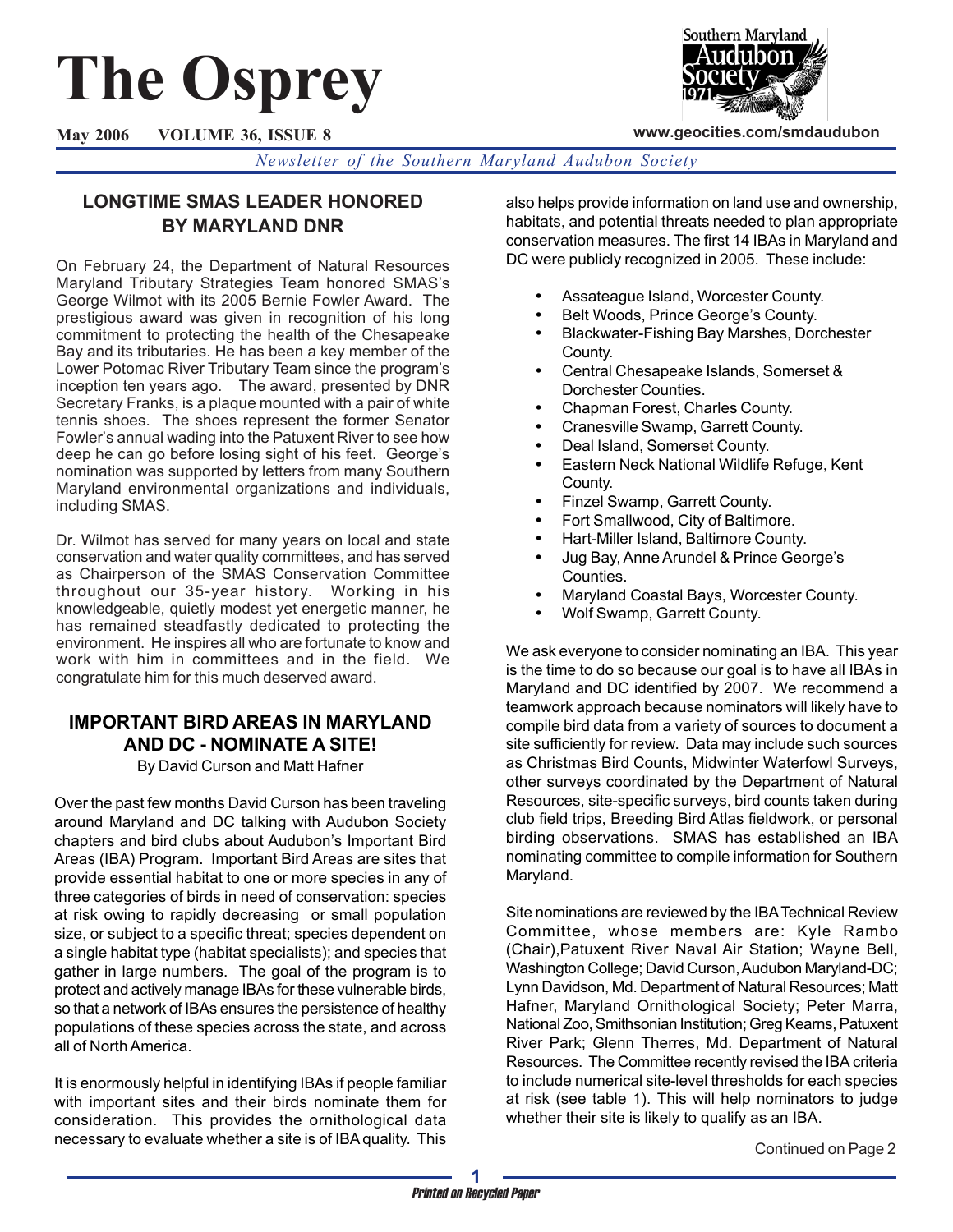# **The Osprey**

Southern Maryland

**www.geocities.com/smdaudubon**

**May 2006 VOLUME 36, ISSUE 8**

*Newsletter of the Southern Maryland Audubon Society*

# **LONGTIME SMAS LEADER HONORED BY MARYLAND DNR**

On February 24, the Department of Natural Resources Maryland Tributary Strategies Team honored SMAS's George Wilmot with its 2005 Bernie Fowler Award. The prestigious award was given in recognition of his long commitment to protecting the health of the Chesapeake Bay and its tributaries. He has been a key member of the Lower Potomac River Tributary Team since the program's inception ten years ago. The award, presented by DNR Secretary Franks, is a plaque mounted with a pair of white tennis shoes. The shoes represent the former Senator Fowler's annual wading into the Patuxent River to see how deep he can go before losing sight of his feet. George's nomination was supported by letters from many Southern Maryland environmental organizations and individuals, including SMAS.

Dr. Wilmot has served for many years on local and state conservation and water quality committees, and has served as Chairperson of the SMAS Conservation Committee throughout our 35-year history. Working in his knowledgeable, quietly modest yet energetic manner, he has remained steadfastly dedicated to protecting the environment. He inspires all who are fortunate to know and work with him in committees and in the field. We congratulate him for this much deserved award.

# **IMPORTANT BIRD AREAS IN MARYLAND AND DC - NOMINATE A SITE!**

By David Curson and Matt Hafner

Over the past few months David Curson has been traveling around Maryland and DC talking with Audubon Society chapters and bird clubs about Audubon's Important Bird Areas (IBA) Program. Important Bird Areas are sites that provide essential habitat to one or more species in any of three categories of birds in need of conservation: species at risk owing to rapidly decreasing or small population size, or subject to a specific threat; species dependent on a single habitat type (habitat specialists); and species that gather in large numbers. The goal of the program is to protect and actively manage IBAs for these vulnerable birds, so that a network of IBAs ensures the persistence of healthy populations of these species across the state, and across all of North America.

It is enormously helpful in identifying IBAs if people familiar with important sites and their birds nominate them for consideration. This provides the ornithological data necessary to evaluate whether a site is of IBA quality. This

also helps provide information on land use and ownership, habitats, and potential threats needed to plan appropriate conservation measures. The first 14 IBAs in Maryland and DC were publicly recognized in 2005. These include:

- Assateague Island, Worcester County.
- Belt Woods, Prince George's County.
- Blackwater-Fishing Bay Marshes, Dorchester County.
- Central Chesapeake Islands, Somerset & Dorchester Counties.
- Chapman Forest, Charles County.
- Cranesville Swamp, Garrett County.
- Deal Island, Somerset County.
- Eastern Neck National Wildlife Refuge, Kent County.
- Finzel Swamp, Garrett County.
- Fort Smallwood, City of Baltimore.
- Hart-Miller Island, Baltimore County.
- Jug Bay, Anne Arundel & Prince George's Counties.
- Maryland Coastal Bays, Worcester County.
- Wolf Swamp, Garrett County.

We ask everyone to consider nominating an IBA. This year is the time to do so because our goal is to have all IBAs in Maryland and DC identified by 2007. We recommend a teamwork approach because nominators will likely have to compile bird data from a variety of sources to document a site sufficiently for review. Data may include such sources as Christmas Bird Counts, Midwinter Waterfowl Surveys, other surveys coordinated by the Department of Natural Resources, site-specific surveys, bird counts taken during club field trips, Breeding Bird Atlas fieldwork, or personal birding observations. SMAS has established an IBA nominating committee to compile information for Southern Maryland.

Site nominations are reviewed by the IBA Technical Review Committee, whose members are: Kyle Rambo (Chair),Patuxent River Naval Air Station; Wayne Bell, Washington College; David Curson, Audubon Maryland-DC; Lynn Davidson, Md. Department of Natural Resources; Matt Hafner, Maryland Ornithological Society; Peter Marra, National Zoo, Smithsonian Institution; Greg Kearns, Patuxent River Park; Glenn Therres, Md. Department of Natural Resources. The Committee recently revised the IBA criteria to include numerical site-level thresholds for each species at risk (see table 1). This will help nominators to judge whether their site is likely to qualify as an IBA.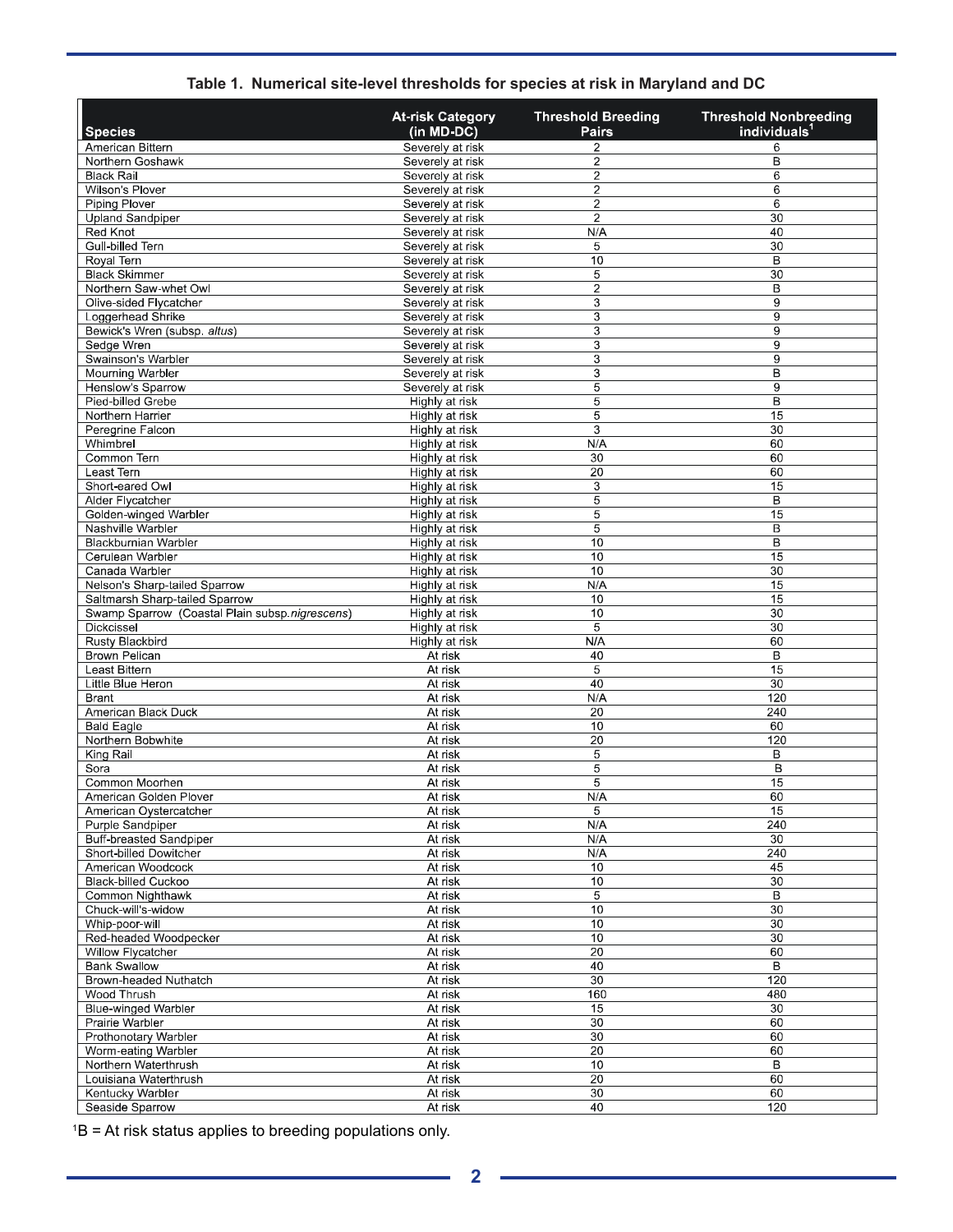| <b>Species</b>                                 | <b>At-risk Category</b><br>(in MD-DC) | <b>Threshold Breeding</b><br>Pairs | <b>Threshold Nonbreeding</b><br>individuals |
|------------------------------------------------|---------------------------------------|------------------------------------|---------------------------------------------|
| American Bittern                               | Severely at risk                      | 2                                  | 6                                           |
| Northern Goshawk                               | Severely at risk                      | 2                                  | B                                           |
| <b>Black Rail</b>                              | Severely at risk                      | $\overline{c}$                     | 6                                           |
| Wilson's Plover                                | Severely at risk                      | 2                                  | 6                                           |
| <b>Piping Plover</b>                           | Severely at risk                      | $\overline{\mathbf{c}}$            | 6                                           |
| <b>Upland Sandpiper</b>                        | Severely at risk                      | $\overline{\mathbf{c}}$            | 30                                          |
| Red Knot                                       | Severely at risk                      | N/A                                | 40                                          |
| Gull-billed Tern                               | Severely at risk                      | 5                                  | 30                                          |
| Royal Tern                                     | Severely at risk                      | 10                                 | B                                           |
| <b>Black Skimmer</b><br>Northern Saw-whet Owl  | Severely at risk<br>Severely at risk  | 5<br>$\overline{2}$                | 30<br>$\overline{B}$                        |
| Olive-sided Flycatcher                         | Severely at risk                      | 3                                  | 9                                           |
| Loggerhead Shrike                              | Severely at risk                      | 3                                  | 9                                           |
| Bewick's Wren (subsp. altus)                   | Severely at risk                      | 3                                  | 9                                           |
| Sedge Wren                                     | Severely at risk                      | $\overline{3}$                     | 9                                           |
| Swainson's Warbler                             | Severely at risk                      | 3                                  | 9                                           |
| Mourning Warbler                               | Severely at risk                      | $\overline{3}$                     | B                                           |
| Henslow's Sparrow                              | Severely at risk                      | 5                                  | 9                                           |
| Pied-billed Grebe                              | Highly at risk                        | 5                                  | $\overline{B}$                              |
| Northern Harrier                               | Highly at risk                        | 5                                  | 15                                          |
| Peregrine Falcon                               | Highly at risk                        | 3                                  | 30                                          |
| Whimbrel                                       | Highly at risk                        | N/A                                | 60                                          |
| Common Tern<br>Least Tern                      | Highly at risk<br>Highly at risk      | 30<br>20                           | 60<br>60                                    |
| Short-eared Owl                                | Highly at risk                        | 3                                  | 15                                          |
| Alder Flycatcher                               | Highly at risk                        | 5                                  | B                                           |
| Golden-winged Warbler                          | Highly at risk                        | 5                                  | 15                                          |
| Nashville Warbler                              | Highly at risk                        | 5                                  | B                                           |
| Blackburnian Warbler                           | Highly at risk                        | 10                                 | B                                           |
| Cerulean Warbler                               | Highly at risk                        | 10                                 | 15                                          |
| Canada Warbler                                 | Highly at risk                        | 10                                 | 30                                          |
| Nelson's Sharp-tailed Sparrow                  | Highly at risk                        | N/A                                | 15                                          |
| Saltmarsh Sharp-tailed Sparrow                 | Highly at risk                        | 10                                 | 15                                          |
| Swamp Sparrow (Coastal Plain subsp.nigrescens) | Highly at risk                        | 10                                 | 30                                          |
| Dickcissel                                     | Highly at risk                        | 5                                  | 30                                          |
| Rusty Blackbird<br>Brown Pelican               | Highly at risk<br>At risk             | N/A<br>40                          | 60<br>B                                     |
| Least Bittern                                  | At risk                               | 5                                  | 15                                          |
| Little Blue Heron                              | At risk                               | 40                                 | 30                                          |
| <b>Brant</b>                                   | At risk                               | N/A                                | 120                                         |
| American Black Duck                            | At risk                               | 20                                 | 240                                         |
| <b>Bald Eagle</b>                              | At risk                               | 10                                 | 60                                          |
| Northern Bobwhite                              | At risk                               | $\overline{20}$                    | 120                                         |
| King Rail                                      | At risk                               | 5                                  | B                                           |
| Sora                                           | At risk                               | 5                                  | B                                           |
| Common Moorhen                                 | At risk                               | 5                                  | 15                                          |
| American Golden Plover                         | At risk                               | N/A                                | 60                                          |
| American Oystercatcher<br>Purple Sandpiper     | At risk<br>At risk                    | 5<br>N/A                           | 15<br>240                                   |
| Buff-breasted Sandpiper                        | At risk                               | N/A                                | 30                                          |
| Short-billed Dowitcher                         | At risk                               | N/A                                | 240                                         |
| American Woodcock                              | At risk                               | 10                                 | 45                                          |
| <b>Black-billed Cuckoo</b>                     | At risk                               | 10                                 | $\overline{30}$                             |
| Common Nighthawk                               | At risk                               | 5                                  | $\overline{B}$                              |
| Chuck-will's-widow                             | At risk                               | 10                                 | 30                                          |
| Whip-poor-will                                 | At risk                               | 10                                 | 30                                          |
| Red-headed Woodpecker                          | At risk                               | 10                                 | 30                                          |
| Willow Flycatcher                              | At risk                               | 20                                 | 60                                          |
| <b>Bank Swallow</b><br>Brown-headed Nuthatch   | At risk                               | 40<br>30                           | B<br>120                                    |
| Wood Thrush                                    | At risk<br>At risk                    | 160                                | 480                                         |
| <b>Blue-winged Warbler</b>                     | At risk                               | 15                                 | $\overline{30}$                             |
| Prairie Warbler                                | At risk                               | 30                                 | 60                                          |
| Prothonotary Warbler                           | At risk                               | 30                                 | 60                                          |
| Worm-eating Warbler                            | At risk                               | 20                                 | 60                                          |
| Northern Waterthrush                           | At risk                               | 10                                 | $\overline{B}$                              |
| Louisiana Waterthrush                          | At risk                               | $\overline{20}$                    | 60                                          |
| Kentucky Warbler                               | At risk                               | 30                                 | 60                                          |
| Seaside Sparrow                                | At risk                               | 40                                 | 120                                         |

### **Table 1. Numerical site-level thresholds for species at risk in Maryland and DC**

1B = At risk status applies to breeding populations only.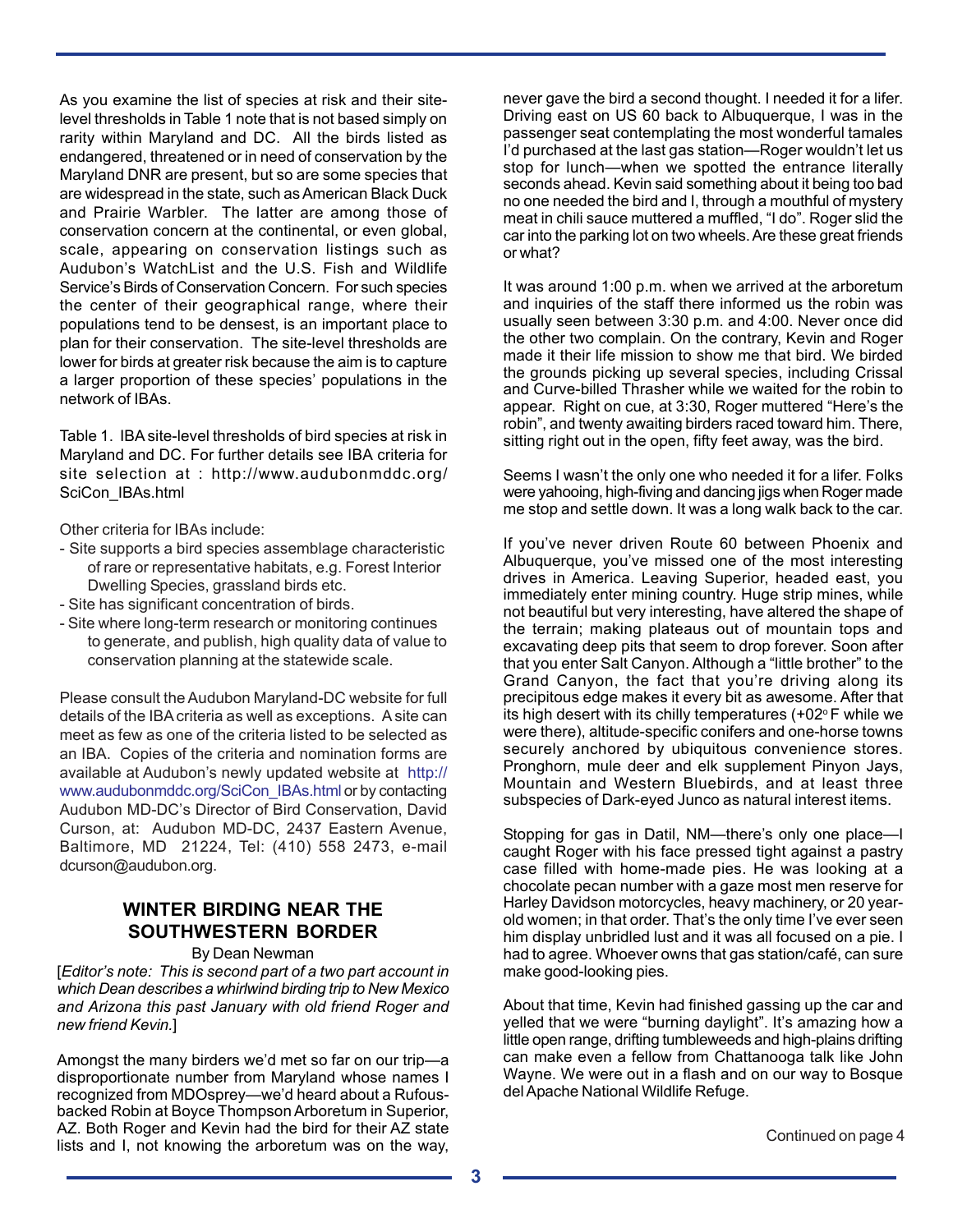As you examine the list of species at risk and their sitelevel thresholds in Table 1 note that is not based simply on rarity within Maryland and DC. All the birds listed as endangered, threatened or in need of conservation by the Maryland DNR are present, but so are some species that are widespread in the state, such as American Black Duck and Prairie Warbler. The latter are among those of conservation concern at the continental, or even global, scale, appearing on conservation listings such as Audubon's WatchList and the U.S. Fish and Wildlife Service's Birds of Conservation Concern. For such species the center of their geographical range, where their populations tend to be densest, is an important place to plan for their conservation. The site-level thresholds are lower for birds at greater risk because the aim is to capture a larger proportion of these species' populations in the network of IBAs.

Table 1. IBA site-level thresholds of bird species at risk in Maryland and DC. For further details see IBA criteria for site selection at : http://www.audubonmddc.org/ SciCon\_IBAs.html

Other criteria for IBAs include:

- Site supports a bird species assemblage characteristic of rare or representative habitats, e.g. Forest Interior Dwelling Species, grassland birds etc.
- Site has significant concentration of birds.
- Site where long-term research or monitoring continues to generate, and publish, high quality data of value to conservation planning at the statewide scale.

Please consult the Audubon Maryland-DC website for full details of the IBA criteria as well as exceptions. A site can meet as few as one of the criteria listed to be selected as an IBA. Copies of the criteria and nomination forms are available at Audubon's newly updated website at http:// www.audubonmddc.org/SciCon\_IBAs.html or by contacting Audubon MD-DC's Director of Bird Conservation, David Curson, at: Audubon MD-DC, 2437 Eastern Avenue, Baltimore, MD 21224, Tel: (410) 558 2473, e-mail dcurson@audubon.org.

# **WINTER BIRDING NEAR THE SOUTHWESTERN BORDER**

By Dean Newman

[*Editor's note: This is second part of a two part account in which Dean describes a whirlwind birding trip to New Mexico and Arizona this past January with old friend Roger and new friend Kevin.*]

Amongst the many birders we'd met so far on our trip—a disproportionate number from Maryland whose names I recognized from MDOsprey—we'd heard about a Rufousbacked Robin at Boyce Thompson Arboretum in Superior, AZ. Both Roger and Kevin had the bird for their AZ state AZ. Both Roger and Revin had the bird for their AZ state<br>lists and I, not knowing the arboretum was on the way,

never gave the bird a second thought. I needed it for a lifer. Driving east on US 60 back to Albuquerque, I was in the passenger seat contemplating the most wonderful tamales I'd purchased at the last gas station—Roger wouldn't let us stop for lunch—when we spotted the entrance literally seconds ahead. Kevin said something about it being too bad no one needed the bird and I, through a mouthful of mystery meat in chili sauce muttered a muffled, "I do". Roger slid the car into the parking lot on two wheels. Are these great friends or what?

It was around 1:00 p.m. when we arrived at the arboretum and inquiries of the staff there informed us the robin was usually seen between 3:30 p.m. and 4:00. Never once did the other two complain. On the contrary, Kevin and Roger made it their life mission to show me that bird. We birded the grounds picking up several species, including Crissal and Curve-billed Thrasher while we waited for the robin to appear. Right on cue, at 3:30, Roger muttered "Here's the robin", and twenty awaiting birders raced toward him. There, sitting right out in the open, fifty feet away, was the bird.

Seems I wasn't the only one who needed it for a lifer. Folks were yahooing, high-fiving and dancing jigs when Roger made me stop and settle down. It was a long walk back to the car.

If you've never driven Route 60 between Phoenix and Albuquerque, you've missed one of the most interesting drives in America. Leaving Superior, headed east, you immediately enter mining country. Huge strip mines, while not beautiful but very interesting, have altered the shape of the terrain; making plateaus out of mountain tops and excavating deep pits that seem to drop forever. Soon after that you enter Salt Canyon. Although a "little brother" to the Grand Canyon, the fact that you're driving along its precipitous edge makes it every bit as awesome. After that its high desert with its chilly temperatures  $(+02^{\circ}$  F while we were there), altitude-specific conifers and one-horse towns securely anchored by ubiquitous convenience stores. Pronghorn, mule deer and elk supplement Pinyon Jays, Mountain and Western Bluebirds, and at least three subspecies of Dark-eyed Junco as natural interest items.

Stopping for gas in Datil, NM—there's only one place—I caught Roger with his face pressed tight against a pastry case filled with home-made pies. He was looking at a chocolate pecan number with a gaze most men reserve for Harley Davidson motorcycles, heavy machinery, or 20 yearold women; in that order. That's the only time I've ever seen him display unbridled lust and it was all focused on a pie. I had to agree. Whoever owns that gas station/café, can sure make good-looking pies.

About that time, Kevin had finished gassing up the car and yelled that we were "burning daylight". It's amazing how a little open range, drifting tumbleweeds and high-plains drifting can make even a fellow from Chattanooga talk like John Wayne. We were out in a flash and on our way to Bosque del Apache National Wildlife Refuge.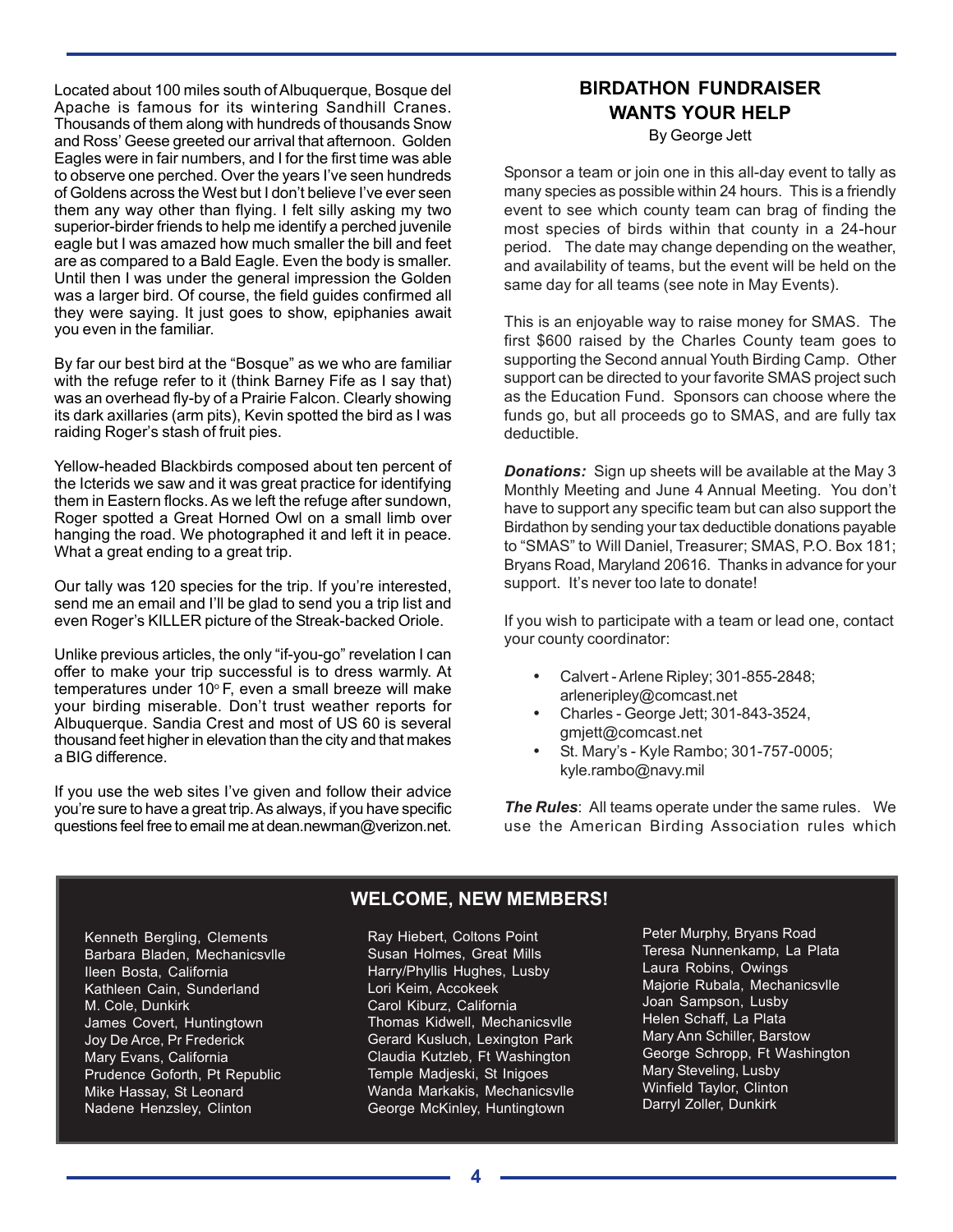Located about 100 miles south of Albuquerque, Bosque del Apache is famous for its wintering Sandhill Cranes. Thousands of them along with hundreds of thousands Snow and Ross' Geese greeted our arrival that afternoon. Golden Eagles were in fair numbers, and I for the first time was able to observe one perched. Over the years I've seen hundreds of Goldens across the West but I don't believe I've ever seen them any way other than flying. I felt silly asking my two superior-birder friends to help me identify a perched juvenile eagle but I was amazed how much smaller the bill and feet are as compared to a Bald Eagle. Even the body is smaller. Until then I was under the general impression the Golden was a larger bird. Of course, the field guides confirmed all they were saying. It just goes to show, epiphanies await you even in the familiar.

By far our best bird at the "Bosque" as we who are familiar with the refuge refer to it (think Barney Fife as I say that) was an overhead fly-by of a Prairie Falcon. Clearly showing its dark axillaries (arm pits), Kevin spotted the bird as I was raiding Roger's stash of fruit pies.

Yellow-headed Blackbirds composed about ten percent of the Icterids we saw and it was great practice for identifying them in Eastern flocks. As we left the refuge after sundown, Roger spotted a Great Horned Owl on a small limb over hanging the road. We photographed it and left it in peace. What a great ending to a great trip.

Our tally was 120 species for the trip. If you're interested, send me an email and I'll be glad to send you a trip list and even Roger's KILLER picture of the Streak-backed Oriole.

Unlike previous articles, the only "if-you-go" revelation I can offer to make your trip successful is to dress warmly. At temperatures under  $10^{\circ}$  F, even a small breeze will make your birding miserable. Don't trust weather reports for Albuquerque. Sandia Crest and most of US 60 is several thousand feet higher in elevation than the city and that makes a BIG difference.

If you use the web sites I've given and follow their advice you're sure to have a great trip. As always, if you have specific questions feel free to email me at dean.newman@verizon.net.

# **BIRDATHON FUNDRAISER WANTS YOUR HELP**

By George Jett

Sponsor a team or join one in this all-day event to tally as many species as possible within 24 hours. This is a friendly event to see which county team can brag of finding the most species of birds within that county in a 24-hour period. The date may change depending on the weather, and availability of teams, but the event will be held on the same day for all teams (see note in May Events).

This is an enjoyable way to raise money for SMAS. The first \$600 raised by the Charles County team goes to supporting the Second annual Youth Birding Camp. Other support can be directed to your favorite SMAS project such as the Education Fund. Sponsors can choose where the funds go, but all proceeds go to SMAS, and are fully tax deductible.

*Donations:* Sign up sheets will be available at the May 3 Monthly Meeting and June 4 Annual Meeting. You don't have to support any specific team but can also support the Birdathon by sending your tax deductible donations payable to "SMAS" to Will Daniel, Treasurer; SMAS, P.O. Box 181; Bryans Road, Maryland 20616. Thanks in advance for your support. It's never too late to donate!

If you wish to participate with a team or lead one, contact your county coordinator:

- Calvert Arlene Ripley; 301-855-2848; arleneripley@comcast.net
- Charles George Jett; 301-843-3524, gmjett@comcast.net
- St. Mary's Kyle Rambo; 301-757-0005; kyle.rambo@navy.mil

*The Rules*: All teams operate under the same rules. We use the American Birding Association rules which

Kenneth Bergling, Clements Barbara Bladen, Mechanicsvlle Ileen Bosta, California Kathleen Cain, Sunderland M. Cole, Dunkirk James Covert, Huntingtown Joy De Arce, Pr Frederick Mary Evans, California Prudence Goforth, Pt Republic Mike Hassay, St Leonard Nadene Henzsley, Clinton

# **WELCOME, NEW MEMBERS!**

Ray Hiebert, Coltons Point Susan Holmes, Great Mills Harry/Phyllis Hughes, Lusby Lori Keim, Accokeek Carol Kiburz, California Thomas Kidwell, Mechanicsvlle Gerard Kusluch, Lexington Park Claudia Kutzleb, Ft Washington Temple Madjeski, St Inigoes Wanda Markakis, Mechanicsvlle George McKinley, Huntingtown

Peter Murphy, Bryans Road Teresa Nunnenkamp, La Plata Laura Robins, Owings Majorie Rubala, Mechanicsvlle Joan Sampson, Lusby Helen Schaff, La Plata Mary Ann Schiller, Barstow George Schropp, Ft Washington Mary Steveling, Lusby Winfield Taylor, Clinton Darryl Zoller, Dunkirk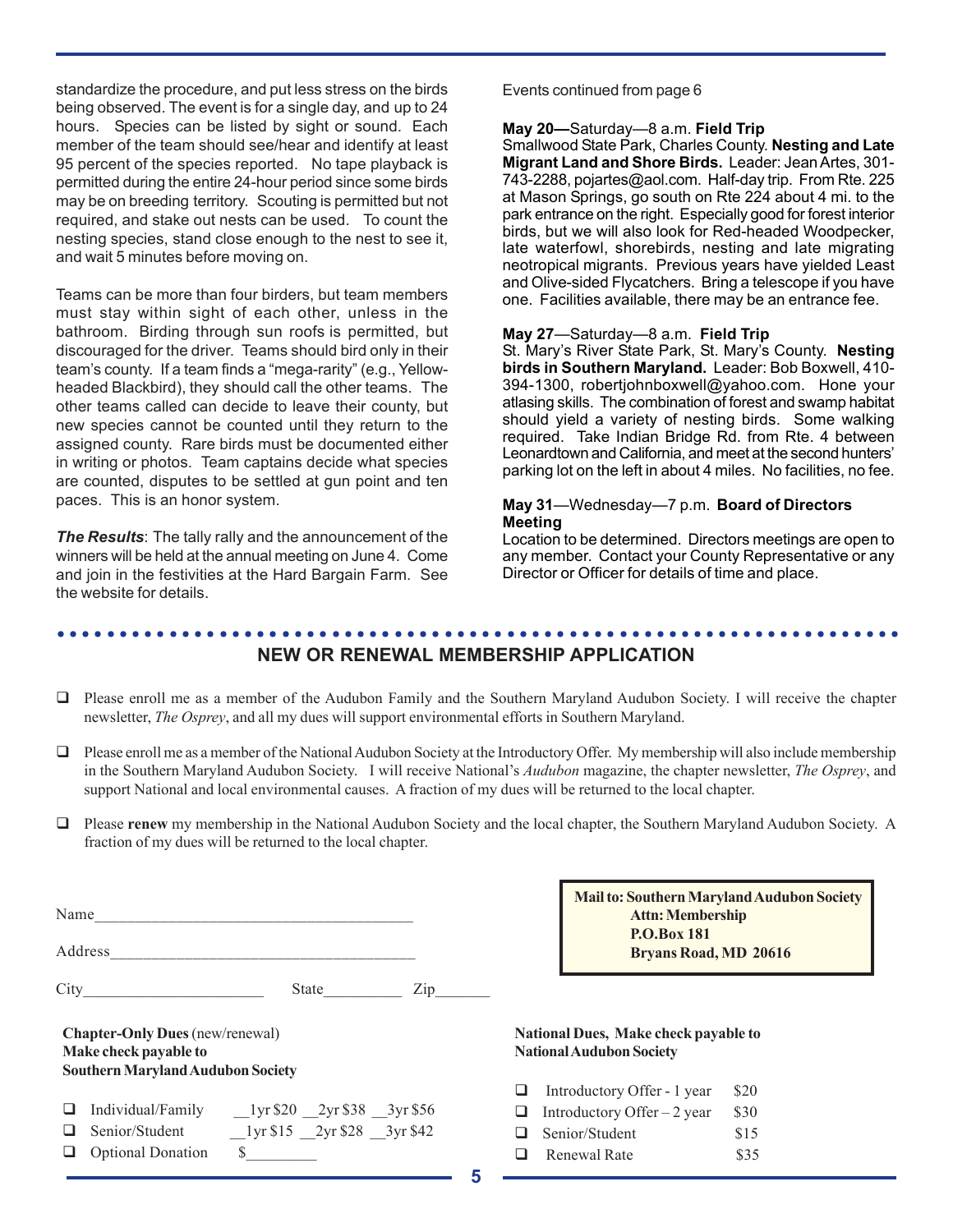standardize the procedure, and put less stress on the birds being observed. The event is for a single day, and up to 24 hours. Species can be listed by sight or sound. Each member of the team should see/hear and identify at least 95 percent of the species reported. No tape playback is permitted during the entire 24-hour period since some birds may be on breeding territory. Scouting is permitted but not required, and stake out nests can be used. To count the nesting species, stand close enough to the nest to see it, and wait 5 minutes before moving on.

Teams can be more than four birders, but team members must stay within sight of each other, unless in the bathroom. Birding through sun roofs is permitted, but discouraged for the driver. Teams should bird only in their team's county. If a team finds a "mega-rarity" (e.g., Yellowheaded Blackbird), they should call the other teams. The other teams called can decide to leave their county, but new species cannot be counted until they return to the assigned county. Rare birds must be documented either in writing or photos. Team captains decide what species are counted, disputes to be settled at gun point and ten paces. This is an honor system.

*The Results*: The tally rally and the announcement of the winners will be held at the annual meeting on June 4. Come and join in the festivities at the Hard Bargain Farm. See the website for details.

Events continued from page 6

#### **May 20—**Saturday—8 a.m. **Field Trip**

Smallwood State Park, Charles County. **Nesting and Late Migrant Land and Shore Birds.** Leader: Jean Artes, 301- 743-2288, pojartes@aol.com. Half-day trip. From Rte. 225 at Mason Springs, go south on Rte 224 about 4 mi. to the park entrance on the right. Especially good for forest interior birds, but we will also look for Red-headed Woodpecker, late waterfowl, shorebirds, nesting and late migrating neotropical migrants. Previous years have yielded Least and Olive-sided Flycatchers. Bring a telescope if you have one. Facilities available, there may be an entrance fee.

#### **May 27**—Saturday—8 a.m. **Field Trip**

St. Mary's River State Park, St. Mary's County. **Nesting birds in Southern Maryland.** Leader: Bob Boxwell, 410- 394-1300, robertjohnboxwell@yahoo.com. Hone your atlasing skills. The combination of forest and swamp habitat should yield a variety of nesting birds. Some walking required. Take Indian Bridge Rd. from Rte. 4 between Leonardtown and California, and meet at the second hunters' parking lot on the left in about 4 miles. No facilities, no fee.

#### **May 31**—Wednesday—7 p.m. **Board of Directors Meeting**

Location to be determined. Directors meetings are open to any member. Contact your County Representative or any Director or Officer for details of time and place.

#### ○○○○○○○○○○○○○○○○○○○○○○○○○○○○○○○○○○○○○○○○○○○○○ ○○○○○○○○○○○○○○○○○○○○○○○ **NEW OR RENEWAL MEMBERSHIP APPLICATION**

- $\Box$  Please enroll me as a member of the Audubon Family and the Southern Maryland Audubon Society. I will receive the chapter newsletter, *The Osprey*, and all my dues will support environmental efforts in Southern Maryland.
- Please enroll me as a member of the National Audubon Society at the Introductory Offer.My membership will also include membership in the Southern Maryland Audubon Society. I will receive National's *Audubon* magazine, the chapter newsletter, *The Osprey*, and support National and local environmental causes. A fraction of my dues will be returned to the local chapter.
- Please **renew** my membership in the National Audubon Society and the local chapter, the Southern Maryland Audubon Society. A fraction of my dues will be returned to the local chapter.

| Name |                                                                                                             |                                              |  |
|------|-------------------------------------------------------------------------------------------------------------|----------------------------------------------|--|
|      | Address                                                                                                     |                                              |  |
|      | $City \_$                                                                                                   | State<br>Zip                                 |  |
|      | <b>Chapter-Only Dues</b> (new/renewal)<br>Make check payable to<br><b>Southern Maryland Audubon Society</b> |                                              |  |
|      |                                                                                                             | Individual/Family 1yr \$20 2yr \$38 3yr \$56 |  |
|      | Senior/Student                                                                                              | 1 yr \$15 2 yr \$28 3 yr \$42                |  |
|      | <b>Optional Donation</b>                                                                                    | \$                                           |  |

**Mail to: Southern Maryland Audubon Society Attn: Membership P.O.Box 181 Bryans Road, MD 20616**

#### **National Dues, Make check payable to National Audubon Society**

| ப  | Introductory Offer - 1 year  | \$20 |
|----|------------------------------|------|
| ⊔. | Introductory Offer $-2$ year | \$30 |
|    | $\Box$ Senior/Student        | \$15 |
| ப  | Renewal Rate                 | \$35 |